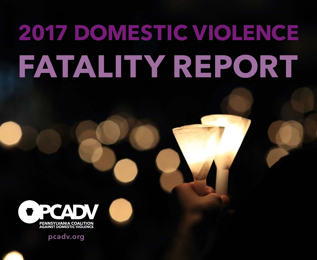# **2017 DOMESTIC VIOLENCE FATALITY REPORT**



**pcadv.org**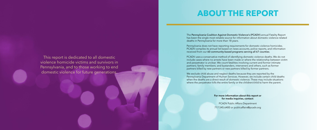This report is dedicated to all domestic violence homicide victims and survivors in Pennsylvania, and to those working to end domestic violence for future generations.

The Pennsylvania Coalition Against Domestic Violence's (PCADV) annual Fatality Report has been the single most reliable source for information about domestic violence-related deaths in Pennsylvania for more than 18 years. Pennsylvania does not have reporting requirements for domestic violence homicides.

We exclude child abuse and neglect deaths because they are reported by the Pennsylvania Department of Human Services. However, we include certain child deaths when the deaths are a direct result of domestic violence. These may include situations where the perpetrator kills the entire family or the children/child to harm the parent.

PCADV compiles its annual list based on news accounts, police reports, and information received from our 60 community-based programs serving all 67 counties.

PCADV uses a conservative method of identifying domestic violence deaths. We do not include cases where no arrests have been made or where the relationship between victim and perpetrator is unclear. We count fatalities involving current and former intimate partners; family members; and bystanders, interveners and others, such as former partners killed by new partners or new partners killed by former partners.

#### **For more information about this report or for media inquiries, contact:**

PCADV Public Affairs Department 717.545.6400 or publicaffairs@pcadv.org

# **ABOUT THE REPORT**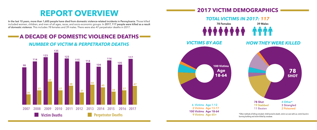## **REPORT OVERVIEW**

In the last 10 years, more than 1,600 people have died from domestic violence-related incidents in Pennsylvania. Those killed included women, children, and men of all ages, races, and socio-economic groups. In 2017, 117 people were killed as a result of domestic violence. This includes 78 females and 39 males. There were also 47 perpetrator deaths in 2017.

### **A DECADE OF DOMESTIC VIOLENCE DEATHS**

### *NUMBER OF VICTIM & PERPETRATOR DEATHS*



burning building and victim killed by crossbow.



### *TOTAL VICTIMS IN 2017: 117*

### **2017 VICTIM DEMOGRAPHICS**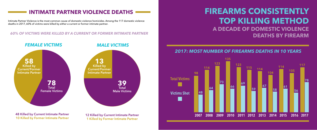### **FIREARMS CONSISTENTLY TOP KILLING METHOD A DECADE OF DOMESTIC VIOLENCE DEATHS BY FIREARM**

### **INTIMATE PARTNER VIOLENCE DEATHS**

Intimate Partner Violence is the most common cause of domestic violence homicides. Among the 117 domestic violence deaths in 2017, 60% of victims were killed by either a current or former intimate partner.



#### *60% OF VICTIMS WERE KILLED BY A CURRENT OR FORMER INTIMATE PARTNER*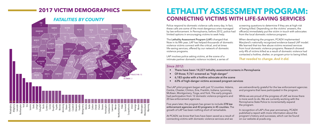### **2017 VICTIM DEMOGRAPHICS**



### **LETHALITY ASSESSMENT PROGRAM: CONNECTING VICTIMS WITH LIFE-SAVING SERVICES**

Police respond to domestic violence calls every day. In fact these calls are some of the most dangerous ones managed by law enforcement. In Pennsylvania, before 2012, police had limited options in encouraging victims to seek help. screening questions to determine if they are at high-risk of being killed. Depending on the victims' answers, the officer(s) immediately put the victim in touch with advocates from the local domestic violence program.

The Lethality Assessment Program (LAP) changed that. Now in its fifth year, LAP has helped thousands of domestic violence victims connect with the critical, and at times life-saving services, offered by our network of domestic violence programs.

LAP involves police asking victims, at the scene of a intimate partner domestic violence incident, a series of

When developing the program, PCADV implemented Maryland's nationally recognized evidence-based LAP model. We learned that too few abuse victims received services from local domestic violence programs. Research showed only 4% of victims killed as a result of domestic violence had contacted a hotline, shelter, or program prior to being killed.

*That needed to change. And it did.* 

#### *Since 2012:*

- 
- Of those, 9,761 screened as "high-danger"
- 
- 

• There have been 14,227 lethality assessment screens in Pennsylvania • 6,183 spoke with a hotline advocate at the scene • 63% of high-danger victims accessed program services

The LAP pilot program began with just 12 counties: Adams, Centre, Chester, Clinton, Erie, Franklin, Indiana, Lycoming, McKean, Montgomery, Tioga, and York. The early program had participation from 12 domestic violence programs and 20 law enforcement agencies.

Five years later, the program has grown to include 278 law enforcement agencies and 43 programs in 45 counties. The growth of LAP has been nothing short of remarkable.

At PCADV, we know that lives have been saved as a result of connecting victims with domestic violence services and we

are extraordinarily grateful for the law enforcement agencies and programs that have participated in the program.

While we are proud of the progress of LAP, we know there is more work to do. We are currently working with the Pennsylvania State Police to incrementally expand the program.

In recognition of LAP's five-year anniversary, PCADV published a report with more information about the program's history and successes, which can be found on our website at pcadv.org.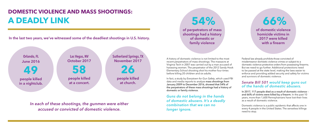### **DOMESTIC VIOLENCE AND MASS SHOOTINGS: A DEADLY LINK**

A history of domestic violence is not limited to the most recent perpetrators of mass shootings. The massacre at Virginia Tech in 2007 was carried out by a man accused of harassing women. The perpetrator of the 2012 Sandy Hook Elementary School shooting shot his mother four times before killing 20 children and six adults.

In fact, a study by *Everytown for Gun Safety*, which used FBI data and media reports to analyze mass shootings from January 2009 to December 2016, showed that 54% of the perpetrators of these mass shootings had a history of domestic or family violence.

*Guns do not belong in the hands of domestic abusers. It's a deadly combination that we can no longer ignore.* 

Federal law already prohibits those convicted of misdemeanor domestic violence crimes or subject to a domestic violence protective orders from possessing firearms. But we need to go further. Additional protections need to be passed at the state level, making the laws easier to enforce and providing added security and safety for victims and survivors of domestic violence.

#### *Senate Bill 501 would keep guns out of the hands of domestic abusers.*

In 2017, 117 people died as a result of domestic violence – and 66% of victims were killed by a firearm. In the past 10 years, more than 1,600 Pennsylvanians have lost their lives as a result of domestic violence.

Domestic violence is a public epidemic that affects one in every 4 people in the United States. The senseless killings need to stop.

*In each of these shootings, the gunmen were either accused or convicted of domestic violence.*



**In the last two years, we've witnessed some of the deadliest shootings in U.S. history.** 

# **54%**

**of perpetrators of mass shootings had a history of domestic or family violence** 

 **66%** 

**of domestic violence homicide victims in 2017 were killed with a firearm**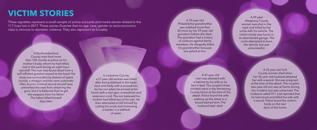# **VICTIM STORIES**

These vignettes represent a small sample of police accounts and media stories related to the 117 lives lost in 2017. These stories illustrate that no age, race, gender or socio-economic class is immune to domestic violence. They also represent its brutality.

> In Lawrence County, a 57-year old woman was killed after being stabbed in the head, neck and body with a screwdriver, by her son when he arrived at her home with a stun gun, screwdriver and extension cord. The son believed his mother had killed two of his cats. He then attempted to kill himself by cutting his wrists and immersing a toaster in a bathtub of water.

A Northumberland County man fired more than 100 rounds at police as his mother's body, whom he had killed, laid in the yard during an eight-hour standoff. The man was found dead from a self-inflicted gunshot wound to the head. His body was surrounded by dozens of spent rounds, a shotgun and two semi-automatic rifles. A prior criminal record should have prevented the man from obtaining the guns, but it is believed that he got the weapons from his father. The father killed himself days later.

A 29-year Allegheny County woman was shot in the neck and killed by her uncle with his vehicle. The victim's body was found in an abandoned garage. The uncle attempted to burn the vehicle, but was unsuccessful.

> A 25-year old York County woman died when her 35-year old husband attacked her with a sword. She was pregnant at the time of the attack. The couple's two-year old son was at home during the incident, but was unharmed. The husband called 911 and reported that he had struck and killed his wife with a sword. Police found the victim's body on the rear deck of the home.

A 41-year old man was attacked with a hatchet by his wife as he laid in bed. The couple's three children were in the Armstrong County home at the time of the attack. Police found the wife walking up the street in a blood-stained shirt. The husband later died.

A 70-year old Philadelphia grandmother was stabbed more than 30 times by her 29-year old grandson before she died. The grandson had a history of violence against family members. He allegedly killed his grandmother because she yelled at him.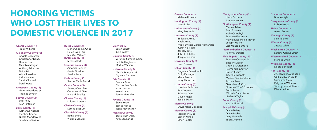# **HONORING VICTIMS WHO LOST THEIR LIVES TO DOMESTIC VIOLENCE IN 2017**

**Adams County (1)** Tracy Williams

#### **Allegheny County (10)**

Angela Ceccarelli Christopher Dancy Dennis Drum Makebia Morgan Anthony Nicassio Bhim Rai Alina Sheykhet India Stewert Sarah Villarreal Daryl Waite

#### **Armstrong County (2)**

George Burdette Jr. Thomas Snyder

**Beaver County (2)** Lesli Kelly Alan Patterson

#### **Berks County (4)**

Catherine Kriebel Stephen Kriebel Nicole Monderwicz Tara Marie Serino

#### **Bucks County (3)**

Maria Choo Lin Choo Helen Lynn Farr Michael McNew **Butler County (1)** Melissa Barto

#### **Cambria County (3)**

Amanda Bennett Jessie Gordon Jessica Lunn

#### **Carbon County (1)** Sandra Marie Barndt

#### **Centre County (3)**

Jeremy Cantolina Courtney McGee Richard Smalley

#### **Chester County (1)** Mildred Abrams

**Clarion County (1)** Katrina Seaburn

#### **Clearfield County (2)** Beth Schultz

Victoria Schultz

#### **Crawford (2)**

Sarah Schaff Julie Willey

#### **Dauphin County (3)**

Veronica Santana-Costa Earl Watlington, Jr. Martha Watson

#### **Delaware County (2)** Nicole Katerynczuk Crystalin Thomas

#### **Erie County (5)**

Pamela Buren Christopher Feucht Karen Leclair Kevin Lucas Teresa Maroglio

#### **Fayette County (3)**

Steve Bricker James Plance Tasha May Walton

#### **Franklin County (2)**

Jamie Ruth Daley Kathleen Lange

**Greene County (1)** Melanie Howells

**Huntingdon County (1)** Kayla Ruby

**Lackawanna County (1)** Mary Reynolds

#### **Lancaster County (7)**

Bellailani Arnau Noah Arnau Hugo Ernesto Garcia-Hernandez Justin Halstead Janet Morris John Teffeteller Jacqueline Vera

**Lawrence County (1)** Lauri Craven

#### **Lehigh County (4)** Dagmary Baez-Arocho Emily Fatzinger Maria Santos Kelsy Thomson

#### **Luzerne County (5)**

Lorraine Ambrose Erik Dupree Rebecca Getz Devon Major Ezekiel Major

#### **Mercer County (1)** Olivia Maria Gonzalez

#### **Monroe County (3)** Morgan McGee Steven Mineo Ethan Robles

**Montgomery County (2)** Harry Bachman Annette House

#### **Northampton County (7)**

Catrina Adams Ryan Boomer Holly Cernobyl Terrance Ferguson Mary Louise Mixell-Moyer Joseph Mullner Lisa Menzo Santoro

#### **Northumberland County (1)** Penny Mansfield

#### **Philadelphia County (13)**

Terrance Corrigan IV Erica McClellan Virginia Cruttenden Raymond Finney Sr. Robert Girard Tracy Hedgepeth Marisol Garcia-Infante Tavonia Love Geraldine McCoy Florence "Tina" Pompey Robin Potter Michelle Saint-Aude Nadirrah Taylor

**Potter County (1)** Krystal Howard

#### **Schuylkill County (4)**

Diane Bailey Diane Brobst Gary Marchalk Todd Swantek

**Somerset County (1)** Brittney Kyle

**Susquehanna County (1)** Robert Hubai

**Union County (1)** Aaron Boone

**Venango County (1)** Sally Nichols

**Warren County (1)** Jessica White

**Washington County (1)** Loraine Gladys Smith

**Westmoreland County (1)** Frances Smith

**Wyoming County (1)** Debra Benedict

#### **York County (6)**

Ahshantianna Johnson Collin McGlen Smith Samantha Stein Kelly June Williams Tammy June Williams Diana Heilner